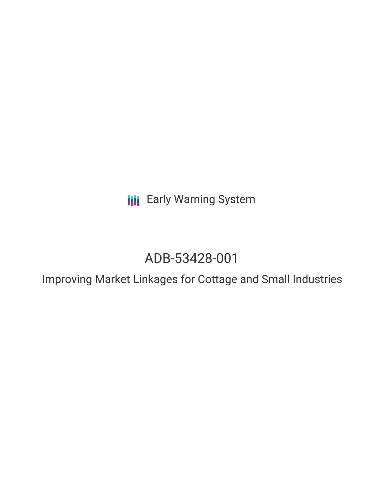**III** Early Warning System

# ADB-53428-001

Improving Market Linkages for Cottage and Small Industries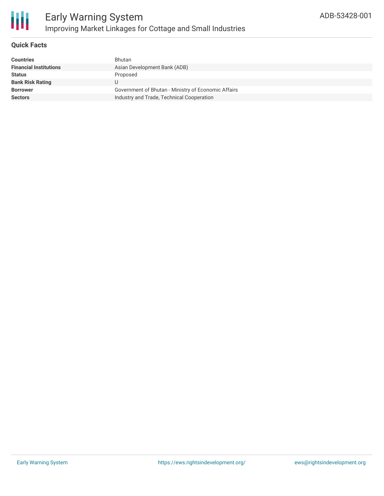

## **Quick Facts**

| <b>Countries</b>              | <b>Bhutan</b>                                       |
|-------------------------------|-----------------------------------------------------|
| <b>Financial Institutions</b> | Asian Development Bank (ADB)                        |
| <b>Status</b>                 | Proposed                                            |
| <b>Bank Risk Rating</b>       |                                                     |
| <b>Borrower</b>               | Government of Bhutan - Ministry of Economic Affairs |
| <b>Sectors</b>                | Industry and Trade, Technical Cooperation           |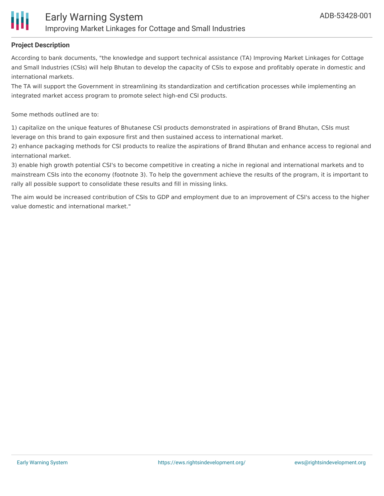

### **Project Description**

According to bank documents, "the knowledge and support technical assistance (TA) Improving Market Linkages for Cottage and Small Industries (CSIs) will help Bhutan to develop the capacity of CSIs to expose and profitably operate in domestic and international markets.

The TA will support the Government in streamlining its standardization and certification processes while implementing an integrated market access program to promote select high-end CSI products.

Some methods outlined are to:

1) capitalize on the unique features of Bhutanese CSI products demonstrated in aspirations of Brand Bhutan, CSIs must leverage on this brand to gain exposure first and then sustained access to international market.

2) enhance packaging methods for CSI products to realize the aspirations of Brand Bhutan and enhance access to regional and international market.

3) enable high growth potential CSI's to become competitive in creating a niche in regional and international markets and to mainstream CSIs into the economy (footnote 3). To help the government achieve the results of the program, it is important to rally all possible support to consolidate these results and fill in missing links.

The aim would be increased contribution of CSIs to GDP and employment due to an improvement of CSI's access to the higher value domestic and international market."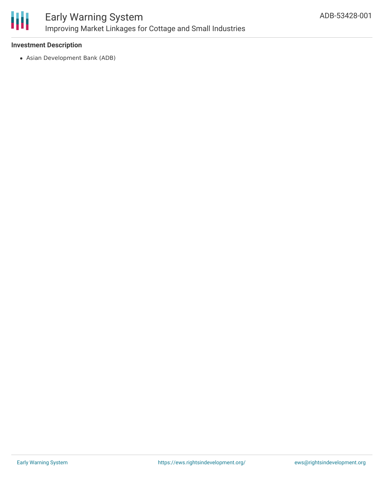

#### **Investment Description**

Asian Development Bank (ADB)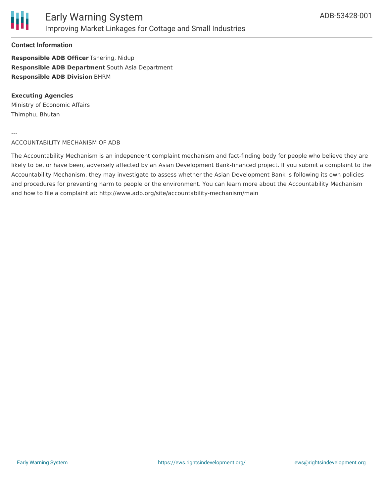

#### **Contact Information**

**Responsible ADB Officer** Tshering, Nidup **Responsible ADB Department** South Asia Department **Responsible ADB Division** BHRM

### **Executing Agencies**

Ministry of Economic Affairs Thimphu, Bhutan

---

#### ACCOUNTABILITY MECHANISM OF ADB

The Accountability Mechanism is an independent complaint mechanism and fact-finding body for people who believe they are likely to be, or have been, adversely affected by an Asian Development Bank-financed project. If you submit a complaint to the Accountability Mechanism, they may investigate to assess whether the Asian Development Bank is following its own policies and procedures for preventing harm to people or the environment. You can learn more about the Accountability Mechanism and how to file a complaint at: http://www.adb.org/site/accountability-mechanism/main